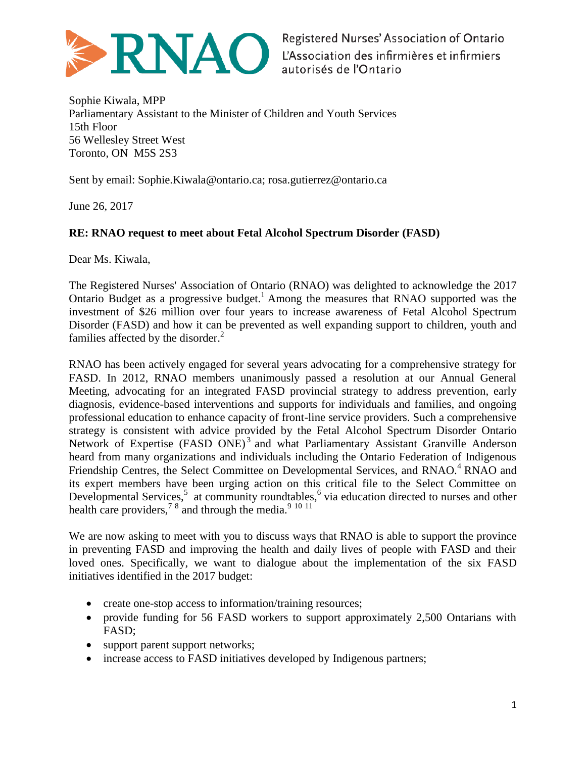

Sophie Kiwala, MPP Parliamentary Assistant to the Minister of Children and Youth Services 15th Floor 56 Wellesley Street West Toronto, ON M5S 2S3

Sent by email: Sophie.Kiwala@ontario.ca; rosa.gutierrez@ontario.ca

June 26, 2017

## **RE: RNAO request to meet about Fetal Alcohol Spectrum Disorder (FASD)**

Dear Ms. Kiwala,

The Registered Nurses' Association of Ontario (RNAO) was delighted to acknowledge the 2017 Ontario Budget as a progressive budget.<sup>1</sup> Among the measures that RNAO supported was the investment of \$26 million over four years to increase awareness of Fetal Alcohol Spectrum Disorder (FASD) and how it can be prevented as well expanding support to children, youth and families affected by the disorder.<sup>2</sup>

RNAO has been actively engaged for several years advocating for a comprehensive strategy for FASD. In 2012, RNAO members unanimously passed a resolution at our Annual General Meeting, advocating for an integrated FASD provincial strategy to address prevention, early diagnosis, evidence-based interventions and supports for individuals and families, and ongoing professional education to enhance capacity of front-line service providers. Such a comprehensive strategy is consistent with advice provided by the Fetal Alcohol Spectrum Disorder Ontario Network of Expertise (FASD ONE)<sup>3</sup> and what Parliamentary Assistant Granville Anderson heard from many organizations and individuals including the Ontario Federation of Indigenous Friendship Centres, the Select Committee on Developmental Services, and RNAO.<sup>4</sup> RNAO and its expert members have been urging action on this critical file to the Select Committee on Developmental Services,<sup>5</sup> at community roundtables,<sup>6</sup> via education directed to nurses and other health care providers,<sup>78</sup> and through the media.<sup>9 10 11</sup>

We are now asking to meet with you to discuss ways that RNAO is able to support the province in preventing FASD and improving the health and daily lives of people with FASD and their loved ones. Specifically, we want to dialogue about the implementation of the six FASD initiatives identified in the 2017 budget:

- create one-stop access to information/training resources;
- provide funding for 56 FASD workers to support approximately 2,500 Ontarians with FASD;
- support parent support networks;
- increase access to FASD initiatives developed by Indigenous partners;